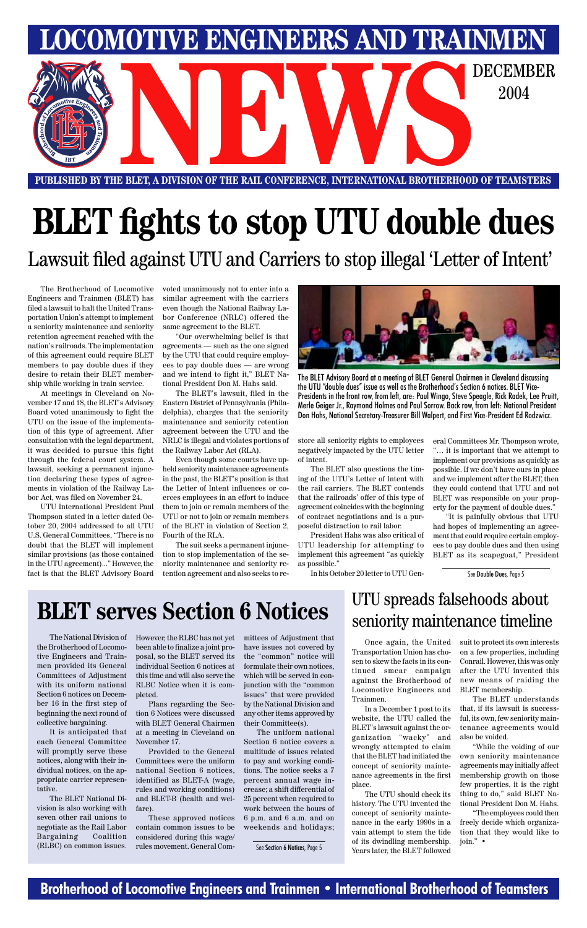### **Brotherhood of Locomotive Engineers and Trainmen • International Brotherhood of Teamsters**

**LOCOMOTIVE ENGINEERS AND TRAINMEN** E BLET, A DIVISION OF THE RAIL CONFERENCE, INTERNATIONAL BROTHERHOOD OF TEAMSTERS 2004

**PUBLISHED BY THE BLET, A DIVISION OF THE RAIL CONFERENCE, INTERNATIONAL BROTHERHOOD OF TEAMSTERS**

# **BLET fights to stop UTU double dues**

The Brotherhood of Locomotive Engineers and Trainmen (BLET) has filed a lawsuit to halt the United Transportation Union's attempt to implement a seniority maintenance and seniority retention agreement reached with the nation's railroads. The implementation of this agreement could require BLET members to pay double dues if they desire to retain their BLET membership while working in train service.

At meetings in Cleveland on November 17 and 18, the BLET's Advisory Board voted unanimously to fight the UTU on the issue of the implementation of this type of agreement. After consultation with the legal department, it was decided to pursue this fight through the federal court system. A lawsuit, seeking a permanent injunction declaring these types of agreements in violation of the Railway Labor Act, was filed on November 24.

UTU International President Paul Thompson stated in a letter dated October 20, 2004 addressed to all UTU U.S. General Committees, "There is no doubt that the BLET will implement similar provisions (as those contained in the UTU agreement)..." However, the fact is that the BLET Advisory Board voted unanimously not to enter into a similar agreement with the carriers even though the National Railway Labor Conference (NRLC) offered the same agreement to the BLET.

"Our overwhelming belief is that agreements — such as the one signed by the UTU that could require employees to pay double dues — are wrong and we intend to fight it," BLET National President Don M. Hahs said.

The BLET's lawsuit, filed in the Eastern District of Pennsylvania (Philadelphia), charges that the seniority maintenance and seniority retention agreement between the UTU and the NRLC is illegal and violates portions of the Railway Labor Act (RLA).

Even though some courts have upheld seniority maintenance agreements in the past, the BLET's position is that the Letter of Intent influences or coerces employees in an effort to induce them to join or remain members of the UTU or not to join or remain members of the BLET in violation of Section 2, Fourth of the RLA.

The suit seeks a permanent injunction to stop implementation of the seniority maintenance and seniority retention agreement and also seeks to restore all seniority rights to employees negatively impacted by the UTU letter of intent.

The BLET also questions the timing of the UTU's Letter of Intent with the rail carriers. The BLET contends that the railroads' offer of this type of agreement coincides with the beginning of contract negotiations and is a purposeful distraction to rail labor.

President Hahs was also critical of UTU leadership for attempting to implement this agreement "as quickly as possible."

In his October 20 letter to UTU Gen-

Lawsuit filed against UTU and Carriers to stop illegal 'Letter of Intent'

eral Committees Mr. Thompson wrote, "… it is important that we attempt to implement our provisions as quickly as possible. If we don't have ours in place and we implement after the BLET, then they could contend that UTU and not BLET was responsible on your property for the payment of double dues."

"It is painfully obvious that UTU had hopes of implementing an agreement that could require certain employees to pay double dues and then using BLET as its scapegoat," President

The National Division of the Brotherhood of Locomotive Engineers and Trainmen provided its General Committees of Adjustment

with its uniform national Section 6 notices on December 16 in the first step of beginning the next round of collective bargaining.

It is anticipated that each General Committee will promptly serve these notices, along with their individual notices, on the appropriate carrier representative.

The BLET National Division is also working with seven other rail unions to negotiate as the Rail Labor Bargaining Coalition (RLBC) on common issues. However, the RLBC has not yet been able to finalize a joint proposal, so the BLET served its individual Section 6 notices at this time and will also serve the

RLBC Notice when it is completed.

Plans regarding the Section 6 Notices were discussed with BLET General Chairmen at a meeting in Cleveland on November 17.

Provided to the General Committees were the uniform national Section 6 notices, identified as BLET-A (wage, rules and working conditions) and BLET-B (health and welfare).

These approved notices contain common issues to be considered during this wage/ rules movement. General Committees of Adjustment that have issues not covered by the "common" notice will formulate their own notices, which will be served in con-

junction with the "common issues" that were provided by the National Division and any other items approved by their Committee(s).

The uniform national Section 6 notice covers a multitude of issues related to pay and working conditions. The notice seeks a 7 percent annual wage increase; a shift differential of 25 percent when required to work between the hours of 6 p.m. and 6 a.m. and on weekends and holidays;

# **BLET serves Section 6 Notices**

Once again, the United Transportation Union has chosen to skew the facts in its continued smear campaign against the Brotherhood of new means of raiding the Locomotive Engineers and Trainmen.

In a December 1 post to its website, the UTU called the BLET's lawsuit against the organization "wacky" and wrongly attempted to claim that the BLET had initiated the concept of seniority maintenance agreements in the first place.

The UTU should check its history. The UTU invented the concept of seniority maintenance in the early 1990s in a vain attempt to stem the tide of its dwindling membership. Years later, the BLET followed

suit to protect its own interests on a few properties, including Conrail. However, this was only after the UTU invented this BLET membership.

The BLET understands that, if its lawsuit is successful, its own, few seniority maintenance agreements would also be voided.

"While the voiding of our own seniority maintenance agreements may initially affect membership growth on those few properties, it is the right thing to do," said BLET National President Don M. Hahs. "The employees could then

freely decide which organization that they would like to join." •

### UTU spreads falsehoods about seniority maintenance timeline



The BLET Advisory Board at a meeting of BLET General Chairmen in Cleveland discussing the UTU "double dues" issue as well as the Brotherhood's Section 6 notices. BLET Vice-Presidents in the front row, from left, are: Paul Wingo, Steve Speagle, Rick Radek, Lee Pruitt, Merle Geiger Jr., Raymond Holmes and Paul Sorrow. Back row, from left: National President Don Hahs, National Secretary-Treasurer Bill Walpert, and First Vice-President Ed Rodzwicz.

See Double Dues, Page 5

See Section 6 Notices, Page 5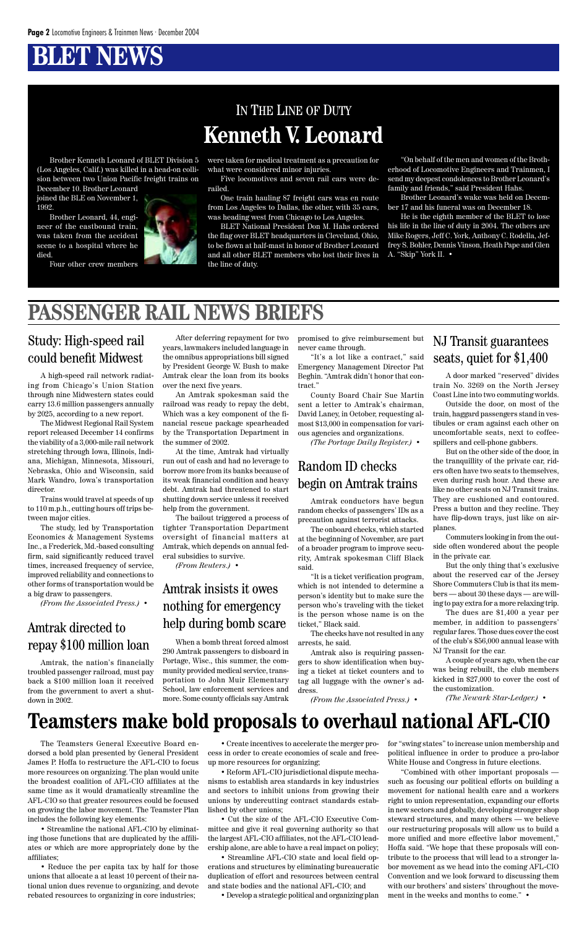## **BLET NEWS**

### IN THE LINE OF DUTY **Kenneth V. Leonard**

Brother Kenneth Leonard of BLET Division 5 (Los Angeles, Calif.) was killed in a head-on collision between two Union Pacific freight trains on

December 10. Brother Leonard joined the BLE on November 1, 1992.

Brother Leonard, 44, engineer of the eastbound train, was taken from the accident scene to a hospital where he died.

Four other crew members



were taken for medical treatment as a precaution for what were considered minor injuries.

Five locomotives and seven rail cars were derailed.

One train hauling 87 freight cars was en route from Los Angeles to Dallas, the other, with 35 cars, was heading west from Chicago to Los Angeles.

BLET National President Don M. Hahs ordered the flag over BLET headquarters in Cleveland, Ohio, to be flown at half-mast in honor of Brother Leonard and all other BLET members who lost their lives in the line of duty.

"On behalf of the men and women of the Brotherhood of Locomotive Engineers and Trainmen, I send my deepest condolences to Brother Leonard's family and friends," said President Hahs.

Brother Leonard's wake was held on December 17 and his funeral was on December 18.

He is the eighth member of the BLET to lose his life in the line of duty in 2004. The others are Mike Rogers, Jeff C. York, Anthony C. Rodella, Jeffrey S. Bohler, Dennis Vinson, Heath Pape and Glen A. "Skip" York II. •

from the government to avert a shut-<br>School, law enforcement services and Amtrak, the nation's financially troubled passenger railroad, must pay back a \$100 million loan it received down in 2002.

When a bomb threat forced almost 290 Amtrak passengers to disboard in Portage, Wisc., this summer, the community provided medical service, transportation to John Muir Elementary more. Some county officials say Amtrak

A high-speed rail network radiating from Chicago's Union Station through nine Midwestern states could carry 13.6 million passengers annually by 2025, according to a new report.

The Midwest Regional Rail System report released December 14 confirms the viability of a 3,000-mile rail network stretching through Iowa, Illinois, Indiana, Michigan, Minnesota, Missouri, Nebraska, Ohio and Wisconsin, said Mark Wandro, Iowa's transportation director.

Trains would travel at speeds of up to 110 m.p.h., cutting hours off trips between major cities.

The study, led by Transportation Economics & Management Systems Inc., a Frederick, Md.-based consulting firm, said significantly reduced travel times, increased frequency of service, improved reliability and connections to other forms of transportation would be a big draw to passengers.

*(From the Associated Press.)* •

### Study: High-speed rail could benefit Midwest

### Amtrak directed to repay \$100 million loan

A door marked "reserved" divides train No. 3269 on the North Jersey Coast Line into two commuting worlds.

Outside the door, on most of the train, haggard passengers stand in vestibules or cram against each other on uncomfortable seats, next to coffeespillers and cell-phone gabbers.

But on the other side of the door, in the tranquillity of the private car, riders often have two seats to themselves, even during rush hour. And these are like no other seats on NJ Transit trains. They are cushioned and contoured. Press a button and they recline. They have flip-down trays, just like on airplanes.

Commuters looking in from the outside often wondered about the people in the private car.

But the only thing that's exclusive about the reserved car of the Jersey Shore Commuters Club is that its members — about 30 these days — are willing to pay extra for a more relaxing trip.

The dues are \$1,400 a year per member, in addition to passengers' regular fares. Those dues cover the cost of the club's \$56,000 annual lease with NJ Transit for the car.

A couple of years ago, when the car was being rebuilt, the club members kicked in \$27,000 to cover the cost of

the customization.

*(The Newark Star-Ledger.)* •

### NJ Transit guarantees seats, quiet for \$1,400

Amtrak conductors have begun random checks of passengers' IDs as a precaution against terrorist attacks.

The onboard checks, which started at the beginning of November, are part of a broader program to improve security, Amtrak spokesman Cliff Black said.

"It is a ticket verification program, which is not intended to determine a person's identity but to make sure the person who's traveling with the ticket is the person whose name is on the ticket," Black said.

The checks have not resulted in any arrests, he said.

Amtrak also is requiring passengers to show identification when buying a ticket at ticket counters and to tag all luggage with the owner's address.

*(From the Associated Press.)* •

### Amtrak insists it owes nothing for emergency help during bomb scare

### Random ID checks begin on Amtrak trains

After deferring repayment for two years, lawmakers included language in the omnibus appropriations bill signed by President George W. Bush to make Amtrak clear the loan from its books over the next five years.

An Amtrak spokesman said the railroad was ready to repay the debt, Which was a key component of the financial rescue package spearheaded by the Transportation Department in the summer of 2002.

At the time, Amtrak had virtually run out of cash and had no leverage to borrow more from its banks because of its weak financial condition and heavy debt. Amtrak had threatened to start shutting down service unless it received help from the government.

The bailout triggered a process of tighter Transportation Department oversight of financial matters at Amtrak, which depends on annual federal subsidies to survive.

*(From Reuters.)* •

promised to give reimbursement but never came through.

"It's a lot like a contract," said Emergency Management Director Pat Beghin. "Amtrak didn't honor that contract."

County Board Chair Sue Martin sent a letter to Amtrak's chairman, David Laney, in October, requesting almost \$13,000 in compensation for various agencies and organizations.

*(The Portage Daily Register.)* •

### **PASSENGER RAIL NEWS BRIEFS**

### **Teamsters make bold proposals to overhaul national AFL-CIO**

The Teamsters General Executive Board endorsed a bold plan presented by General President James P. Hoffa to restructure the AFL-CIO to focus more resources on organizing. The plan would unite the broadest coalition of AFL-CIO affiliates at the same time as it would dramatically streamline the AFL-CIO so that greater resources could be focused on growing the labor movement. The Teamster Plan includes the following key elements:

• Streamline the national AFL-CIO by eliminating those functions that are duplicated by the affiliates or which are more appropriately done by the affiliates;

• Reduce the per capita tax by half for those unions that allocate a at least 10 percent of their national union dues revenue to organizing, and devote rebated resources to organizing in core industries;

• Create incentives to accelerate the merger process in order to create economies of scale and freeup more resources for organizing;

• Reform AFL-CIO jurisdictional dispute mechanisms to establish area standards in key industries and sectors to inhibit unions from growing their unions by undercutting contract standards established by other unions;

• Cut the size of the AFL-CIO Executive Committee and give it real governing authority so that the largest AFL-CIO affiliates, not the AFL-CIO leadership alone, are able to have a real impact on policy;

• Streamline AFL-CIO state and local field operations and structures by eliminating bureaucratic duplication of effort and resources between central and state bodies and the national AFL-CIO; and

• Develop a strategic political and organizing plan

for "swing states" to increase union membership and political influence in order to produce a pro-labor White House and Congress in future elections.

"Combined with other important proposals such as focusing our political efforts on building a movement for national health care and a workers right to union representation, expanding our efforts in new sectors and globally, developing stronger shop steward structures, and many others — we believe our restructuring proposals will allow us to build a more unified and more effective labor movement," Hoffa said. "We hope that these proposals will contribute to the process that will lead to a stronger labor movement as we head into the coming AFL-CIO Convention and we look forward to discussing them with our brothers' and sisters' throughout the movement in the weeks and months to come." •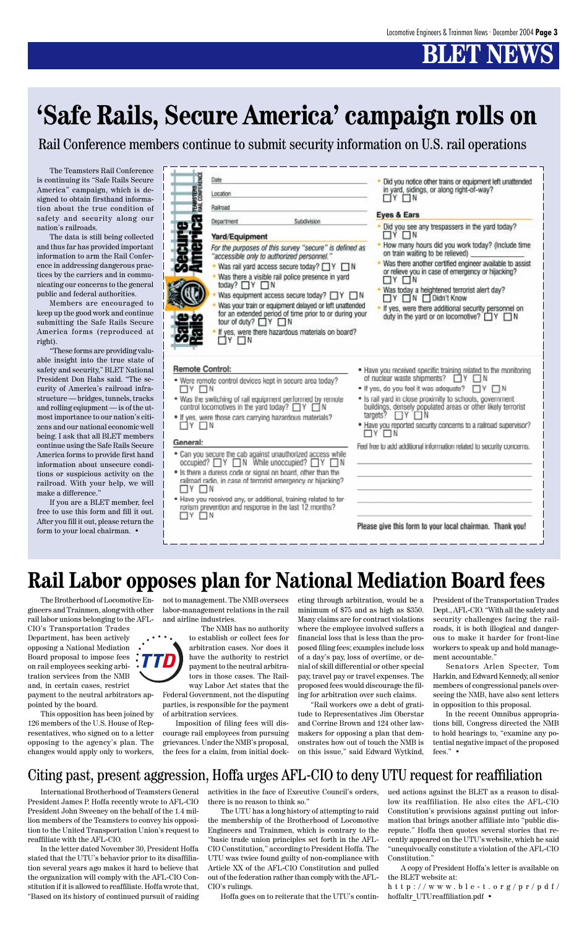# **BT NBW**

The Brotherhood of Locomotive Engineers and Trainmen, along with other rail labor unions belonging to the AFL-CIO's Transportation Trades Department, has been actively opposing a National Mediation Board proposal to impose fees on rail employees seeking arbitration services from the NMB



and, in certain cases, restrict payment to the neutral arbitrators appointed by the board.

This opposition has been joined by 126 members of the U.S. House of Representatives, who signed on to a letter opposing to the agency's plan. The changes would apply only to workers,

The Teamsters Rail Conference is continuing its "Safe Rails Secure America" campaign, which is designed to obtain firsthand information about the true condition of safety and security along our nation's railroads.

The data is still being collected and thus far has provided important information to arm the Rail Conference in addressing dangerous practices by the carriers and in communicating our concerns to the general public and federal authorities.

Members are encouraged to keep up the good work and continue submitting the Safe Rails Secure America forms (reproduced at right).

"These forms are providing valuable insight into the true state of safety and security," BLET National President Don Hahs said. "The security of America's railroad infrastructure — bridges, tunnels, tracks and rolling eqiupment — is of the utmost importance to our nation's citizens and our national economic well being. I ask that all BLET members continue using the Safe Rails Secure America forms to provide first hand information about unsecure conditions or suspicious activity on the railroad. With your help, we will make a difference."

If you are a BLET member, feel free to use this form and fill it out. After you fill it out, please return the form to your local chairman. •

| <b>TEAMSTERS</b><br>HAIL CONFERENCE<br>Location<br>Railroad<br>R<br>Subdivision<br>Department<br>т<br>Yard/Equipment<br>For the purposes of this survey "secure" is defined as<br>"accessible only to authorized personnel."<br>Was rail yard access secure today? $\Box Y \Box N$<br>. Was there a visible rail police presence in yard<br>today? $\Box Y \Box N$<br>Was equipment access secure today? TY<br>Was your train or equipment delayed or left unattended<br>for an extended period of time prior to or during your<br>tour of duty? □ Y □ N<br>If yes, were there hazardous materials on board?<br>⊓Y ⊓N | in yard, sidings, or along right-of-way?<br>$\Box$ y $\Box$ n<br>Eyes & Ears<br>Did you see any trespassers in the yard today?<br>$\Box$ y $\Box$ n<br>. How many hours did you work today? (Include time<br>on train waiting to be relieved)<br>Was there another certified engineer available to assist<br>or relieve you in case of emergency or hijacking?<br>$\Box$ y $\Box$ n<br>Was today a heightened terrorist alert day?<br>- IN<br><b>TY TN FDidn't Know</b><br>If yes, were there additional security personnel on<br>duty in the yard or on locomotive? TY TN |
|-----------------------------------------------------------------------------------------------------------------------------------------------------------------------------------------------------------------------------------------------------------------------------------------------------------------------------------------------------------------------------------------------------------------------------------------------------------------------------------------------------------------------------------------------------------------------------------------------------------------------|----------------------------------------------------------------------------------------------------------------------------------------------------------------------------------------------------------------------------------------------------------------------------------------------------------------------------------------------------------------------------------------------------------------------------------------------------------------------------------------------------------------------------------------------------------------------------|
| <b>Remote Control:</b><br>. Were remote control devices kept in secure area today?<br>Y ITIN<br>. Was the switching of rail equipment performed by remote<br>control locomotives in the vard today? $\Box Y \Box N$<br>. If yes, were those cars carrying hazardous materials?<br>$\Box$ y $\Box$ n<br>General:<br>• Can you secure the cab against unauthorized access while<br>$occuplied?$ $\Box Y$ $\Box N$ While unoccupied? $\Box Y$<br>. Is there a duress code or signal on board, other than the                                                                                                             | . Have you received specific training related to the monitoring<br>of nuclear waste shipments?<br>⊣Y<br>N<br>. If yes, do you feel it was adequate?<br>ПY.<br>$\Box$ N<br>· Is rail yard in close proximity to schools, government<br>buildings, densely populated areas or other likely terrorist<br>taroets? □Y □N<br>. Have you reported security concerns to a railroad supervisor?<br>ארד ∨ר<br>Feel free to add additional information related to security concerns.                                                                                                 |
| railroad radio, in case of terrorist emergency or hijacking?<br>TY FIN<br>· Have you received any, or additional, training related to ter-<br>rorism prevention and response in the last 12 months?<br>Υ.<br>TI N                                                                                                                                                                                                                                                                                                                                                                                                     | Please give this form to your local chairman. Thank you!                                                                                                                                                                                                                                                                                                                                                                                                                                                                                                                   |

# **'Safe Rails, Secure America' campaign rolls on**

Rail Conference members continue to submit security information on U.S. rail operations

### **Rail Labor opposes plan for National Mediation Board fees**

not to management. The NMB oversees labor-management relations in the rail and airline industries.

The NMB has no authority to establish or collect fees for arbitration cases. Nor does it have the authority to restrict payment to the neutral arbitrators in those cases. The Railway Labor Act states that the Federal Government, not the disputing parties, is responsible for the payment of arbitration services. Imposition of filing fees will discourage rail employees from pursuing grievances. Under the NMB's proposal, the fees for a claim, from initial docketing through arbitration, would be a minimum of \$75 and as high as \$350. Many claims are for contract violations where the employee involved suffers a financial loss that is less than the proposed filing fees; examples include loss of a day's pay, loss of overtime, or denial of skill differential or other special pay, travel pay or travel expenses. The

proposed fees would discourage the filing for arbitration over such claims.

"Rail workers owe a debt of gratitude to Representatives Jim Oberstar and Corrine Brown and 124 other lawmakers for opposing a plan that demonstrates how out of touch the NMB is on this issue," said Edward Wytkind, President of the Transportation Trades Dept., AFL-CIO. "With all the safety and security challenges facing the railroads, it is both illogical and dangerous to make it harder for front-line workers to speak up and hold management accountable."

Senators Arlen Specter, Tom Harkin, and Edward Kennedy, all senior

members of congressional panels overseeing the NMB, have also sent letters in opposition to this proposal.

In the recent Omnibus appropriations bill, Congress directed the NMB to hold hearings to, "examine any potential negative impact of the proposed fees." •

### Citing past, present aggression, Hoffa urges AFL-CIO to deny UTU request for reaffiliation

International Brotherhood of Teamsters General President James P. Hoffa recently wrote to AFL-CIO President John Sweeney on the behalf of the 1.4 million members of the Teamsters to convey his opposition to the United Transportation Union's request to reaffiliate with the AFL-CIO.

In the letter dated November 30, President Hoffa stated that the UTU's behavior prior to its disaffiliation several years ago makes it hard to believe that the organization will comply with the AFL-CIO Constitution if it is allowed to reaffiliate. Hoffa wrote that, "Based on its history of continued pursuit of raiding

activities in the face of Executive Council's orders, there is no reason to think so."

The UTU has a long history of attempting to raid the membership of the Brotherhood of Locomotive Engineers and Trainmen, which is contrary to the "basic trade union principles set forth in the AFL-CIO Constitution," according to President Hoffa. The UTU was twice found guilty of non-compliance with Article XX of the AFL-CIO Constitution and pulled out of the federation rather than comply with the AFL-CIO's rulings.

Hoffa goes on to reiterate that the UTU's contin-

ued actions against the BLET as a reason to disallow its reaffiliation. He also cites the AFL-CIO Constitution's provisions against putting out information that brings another affiliate into "public disrepute." Hoffa then quotes several stories that recently appeared on the UTU's website, which he said "unequivocally constitute a violation of the AFL-CIO Constitution."

A copy of President Hoffa's letter is available on the BLET website at:

h t t p : // w w w . b l e - t . o r g / p r / p d f / hoffaltr\_UTUreaffiliation.pdf •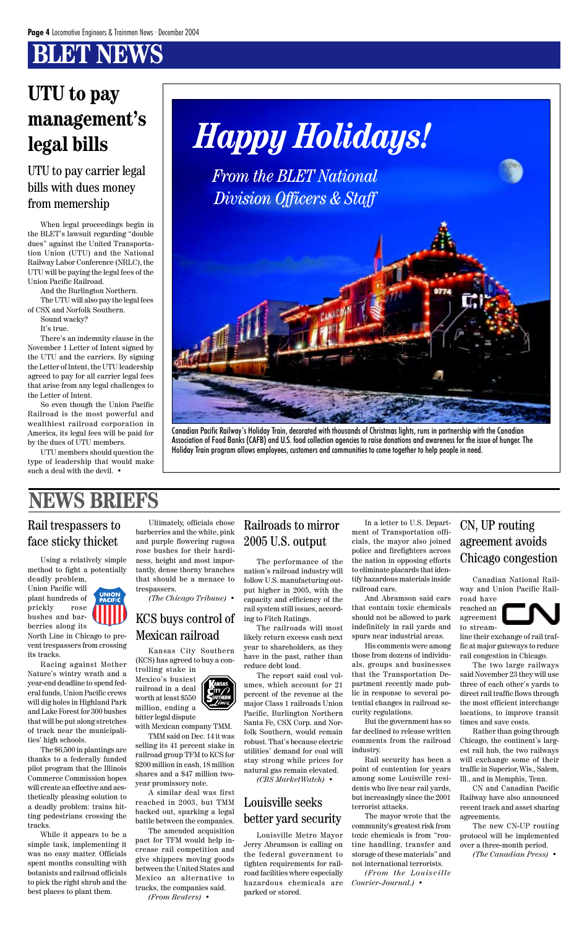# **BT NEWS**



Canadian Pacific Railway's Holiday Train, decorated with thousands of Christmas lights, runs in partnership with the Canadian Association of Food Banks (CAFB) and U.S. food collection agencies to raise donations and awareness for the issue of hunger. The Holiday Train program allows employees, customers and communities to come together to help people in need.

When legal proceedings begin in the BLET's lawsuit regarding "double dues" against the United Transportation Union (UTU) and the National Railway Labor Conference (NRLC), the UTU will be paying the legal fees of the Union Pacific Railroad.

And the Burlington Northern. The UTU will also pay the legal fees of CSX and Norfolk Southern.

Sound wacky?

It's true.

There's an indemnity clause in the November 1 Letter of Intent signed by the UTU and the carriers. By signing the Letter of Intent, the UTU leadership agreed to pay for all carrier legal fees that arise from any legal challenges to the Letter of Intent.

So even though the Union Pacific Railroad is the most powerful and wealthiest railroad corporation in America, its legal fees will be paid for by the dues of UTU members.

UTU members should question the type of leadership that would make such a deal with the devil. •

### UTU to pay carrier legal bills with dues money from memership

## **UTU to pay management's legal bills**

## **NEWS BRIEFS**

### KCS buys control of Mexican railroad

Kansas City Southern (KCS) has agreed to buy a controlling stake in Mexico's busiest

railroad in a deal  $\tilde{\mathbf{C}}$ ity $\bigcap$ worth at least \$550 million, ending a bitter legal dispute

with Mexican company TMM.

TMM said on Dec. 14 it was selling its 41 percent stake in railroad group TFM to KCS for \$200 million in cash, 18 million shares and a \$47 million twoyear promissory note.

A similar deal was first reached in 2003, but TMM backed out, sparking a legal battle between the companies.

The amended acquisition pact for TFM would help increase rail competition and give shippers moving goods between the United States and Mexico an alternative to trucks, the companies said. *(From Reuters)* •

The performance of the nation's railroad industry will follow U.S. manufacturing output higher in 2005, with the capacity and efficiency of the rail system still issues, according to Fitch Ratings.

The railroads will most likely return excess cash next year to shareholders, as they have in the past, rather than reduce debt load.

The report said coal volumes, which account for 21 percent of the revenue at the major Class 1 railroads Union Pacific, Burlington Northern Santa Fe, CSX Corp. and Norfolk Southern, would remain robust. That's because electric utilities' demand for coal will stay strong while prices for natural gas remain elevated. *(CBS MarketWatch)* •

#### Railroads to mirror 2005 U.S. output

#### Louisville seeks better yard security

Louisville Metro Mayor Jerry Abramson is calling on the federal government to tighten requirements for railroad facilities where especially hazardous chemicals are parked or stored.

Using a relatively simple method to fight a potentially deadly problem,

Union Pacific will plant hundreds of prickly rose bushes and barberries along its

North Line in Chicago to prevent trespassers from crossing its tracks.

Racing against Mother Nature's wintry wrath and a

year-end deadline to spend federal funds, Union Pacific crews will dig holes in Highland Park and Lake Forest for 300 bushes that will be put along stretches of track near the municipalities' high schools.

The \$6,500 in plantings are thanks to a federally funded pilot program that the Illinois Commerce Commission hopes will create an effective and aesthetically pleasing solution to a deadly problem: trains hitting pedestrians crossing the tracks.

While it appears to be a simple task, implementing it was no easy matter. Officials spent months consulting with botanists and railroad officials to pick the right shrub and the best places to plant them.

#### Rail trespassers to face sticky thicket

Ultimately, officials chose barberries and the white, pink and purple flowering rugosa rose bushes for their hardiness, height and most importantly, dense thorny branches that should be a menace to trespassers.

*(The Chicago Tribune)* •

Canadian National Railway and Union Pacific Railroad have reached an agreement to streamline their exchange of rail traffic at major gateways to reduce

rail congestion in Chicago. The two large railways said November 23 they will use three of each other's yards to direct rail traffic flows through the most efficient interchange locations, to improve transit times and save costs.

Rather than going through Chicago, the continent's largest rail hub, the two railways will exchange some of their traffic in Superior, Wis., Salem, Ill., and in Memphis, Tenn.

CN and Canadian Pacific Railway have also announced recent track and asset sharing agreements.

The new CN-UP routing protocol will be implemented over a three-month period.

*(The Canadian Press)* •

### CN, UP routing agreement avoids Chicago congestion

In a letter to U.S. Department of Transportation officials, the mayor also joined police and firefighters across the nation in opposing efforts to eliminate placards that identify hazardous materials inside railroad cars.

And Abramson said cars that contain toxic chemicals should not be allowed to park indefinitely in rail yards and spurs near industrial areas.

His comments were among those from dozens of individuals, groups and businesses that the Transportation Department recently made public in response to several potential changes in railroad security regulations. But the government has so far declined to release written comments from the railroad industry.

Rail security has been a point of contention for years among some Louisville residents who live near rail yards, but increasingly since the 2001 terrorist attacks.

The mayor wrote that the community's greatest risk from toxic chemicals is from "routine handling, transfer and storage of these materials" and not international terrorists.

*(From the Louisville Courier-Journal.)* •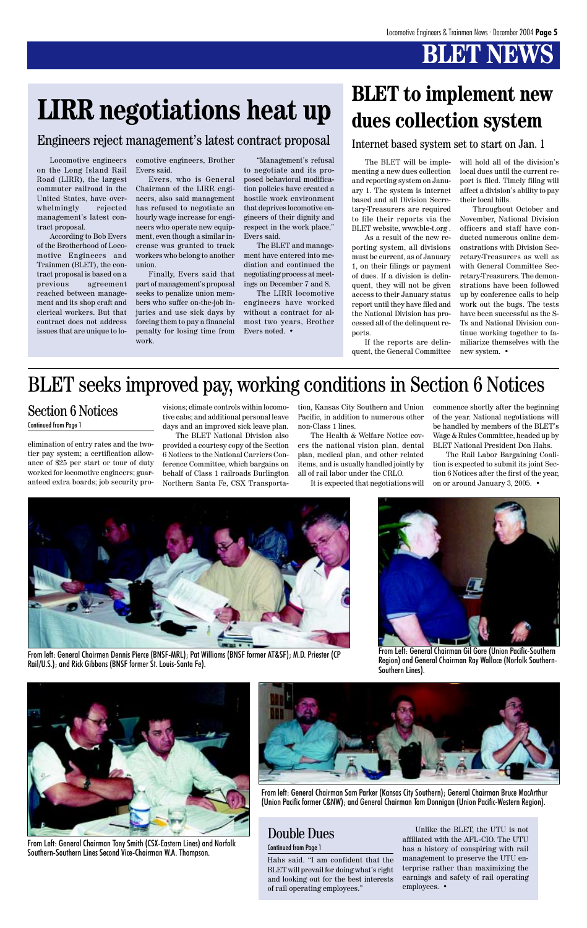# **BT NEW**

# **LIRR negotiations heat up BLET** to implement new

Hahs said. "I am confident that the BLET will prevail for doing what's right and looking out for the best interests of rail operating employees."



From Left: General Chairman Gil Gore (Union Pacific-Southern Region) and General Chairman Ray Wallace (Norfolk Southern-Southern Lines).



From left: General Chairmen Dennis Pierce (BNSF-MRL); Pat Williams (BNSF former AT&SF); M.D. Priester (CP Rail/U.S.); and Rick Gibbons (BNSF former St. Louis-Santa Fe).



From left: General Chairman Sam Parker (Kansas City Southern); General Chairman Bruce MacArthur (Union Pacific former C&NW); and General Chairman Tom Donnigan (Union Pacific-Western Region).



From Left: General Chairman Tony Smith (CSX-Eastern Lines) and Norfolk Southern-Southern Lines Second Vice-Chairman W.A. Thompson.

The BLET will be implementing a new dues collection and reporting system on January 1. The system is internet based and all Division Secretary-Treasurers are required to file their reports via the BLET website, www.ble-t.org .

As a result of the new reporting system, all divisions must be current, as of January 1, on their filings or payment of dues. If a division is delinquent, they will not be given access to their January status report until they have filed and the National Division has processed all of the delinquent reports.

If the reports are delinquent, the General Committee

elimination of entry rates and the twotier pay system; a certification allowance of \$25 per start or tour of duty worked for locomotive engineers; guaranteed extra boards; job security provisions; climate controls within locomotive cabs; and additional personal leave days and an improved sick leave plan.

The BLET National Division also provided a courtesy copy of the Section 6 Notices to the National Carriers Conference Committee, which bargains on behalf of Class 1 railroads Burlington Northern Santa Fe, CSX Transportation, Kansas City Southern and Union Pacific, in addition to numerous other non-Class 1 lines.

The Health & Welfare Notice covers the national vision plan, dental plan, medical plan, and other related items, and is usually handled jointly by all of rail labor under the CRLO.

It is expected that negotiations will

commence shortly after the beginning of the year. National negotiations will be handled by members of the BLET's Wage & Rules Committee, headed up by BLET National President Don Hahs.

The Rail Labor Bargaining Coalition is expected to submit its joint Section 6 Notices after the first of the year, on or around January 3, 2005. •

### Section 6 Notices

Continued from Page 1

### BLET seeks improved pay, working conditions in Section 6 Notices

Locomotive engineers on the Long Island Rail Road (LIRR), the largest commuter railroad in the United States, have overwhelmingly rejected management's latest contract proposal.

According to Bob Evers of the Brotherhood of Locomotive Engineers and Trainmen (BLET), the contract proposal is based on a previous agreement reached between management and its shop craft and clerical workers. But that contract does not address issues that are unique to locomotive engineers, Brother Evers said.

Evers, who is General Chairman of the LIRR engineers, also said management has refused to negotiate an hourly wage increase for engineers who operate new equipment, even though a similar increase was granted to track workers who belong to another union.

Finally, Evers said that part of management's proposal seeks to penalize union members who suffer on-the-job injuries and use sick days by forcing them to pay a financial penalty for losing time from work.

"Management's refusal to negotiate and its proposed behavioral modification policies have created a hostile work environment that deprives locomotive engineers of their dignity and respect in the work place," Evers said.

The BLET and management have entered into mediation and continued the negotiating process at meetings on December 7 and 8.

The LIRR locomotive engineers have worked without a contract for almost two years, Brother Evers noted. •

### Engineers reject management's latest contract proposal

# **dues collection system**

will hold all of the division's local dues until the current report is filed. Timely filing will affect a division's ability to pay their local bills.

Throughout October and November, National Division officers and staff have conducted numerous online demonstrations with Division Secretary-Treasurers as well as with General Committee Secretary-Treasurers. The demonstrations have been followed up by conference calls to help work out the bugs. The tests have been successful as the S-Ts and National Division continue working together to familiarize themselves with the new system. •

Internet based system set to start on Jan. 1

Unlike the BLET, the UTU is not affiliated with the AFL-CIO. The UTU has a history of conspiring with rail management to preserve the UTU enterprise rather than maximizing the earnings and safety of rail operating employees. •

### Double Dues

#### Continued from Page 1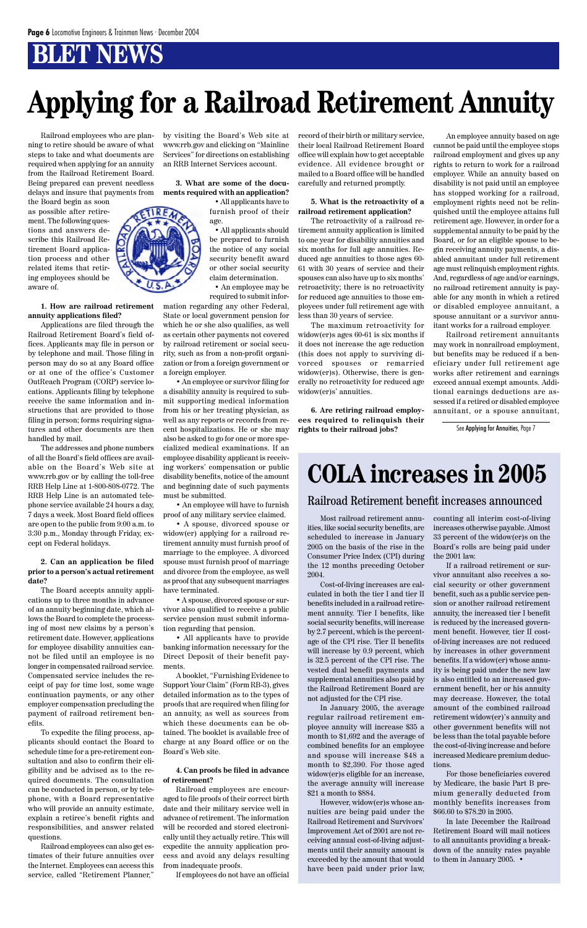## **BLET NEWS**

Railroad employees who are planning to retire should be aware of what steps to take and what documents are required when applying for an annuity from the Railroad Retirement Board. Being prepared can prevent needless delays and insure that payments from

the Board begin as soon as possible after retirement. The following questions and answers describe this Railroad Retirement Board application process and other related items that retiring employees should be aware of.

**1. How are railroad retirement annuity applications filed?**

Applications are filed through the Railroad Retirement Board's field offices. Applicants may file in person or by telephone and mail. Those filing in person may do so at any Board office or at one of the office's Customer OutReach Program (CORP) service locations. Applicants filing by telephone receive the same information and instructions that are provided to those filing in person; forms requiring signatures and other documents are then handled by mail.

The addresses and phone numbers of all the Board's field offices are available on the Board's Web site at www.rrb.gov or by calling the toll-free RRB Help Line at 1-800-808-0772. The RRB Help Line is an automated telephone service available 24 hours a day, 7 days a week. Most Board field offices are open to the public from 9:00 a.m. to 3:30 p.m., Monday through Friday, except on Federal holidays.

#### **2. Can an application be filed prior to a person's actual retirement date?**

The Board accepts annuity applications up to three months in advance of an annuity beginning date, which allows the Board to complete the processing of most new claims by a person's retirement date. However, applications for employee disability annuities cannot be filed until an employee is no longer in compensated railroad service. Compensated service includes the re-

ceipt of pay for time lost, some wage continuation payments, or any other employer compensation precluding the payment of railroad retirement benefits.

To expedite the filing process, applicants should contact the Board to schedule time for a pre-retirement consultation and also to confirm their eligibility and be advised as to the required documents. The consultation can be conducted in person, or by telephone, with a Board representative who will provide an annuity estimate, explain a retiree's benefit rights and responsibilities, and answer related questions.

Railroad employees can also get estimates of their future annuities over the Internet. Employees can access this service, called "Retirement Planner,"

by visiting the Board's Web site at www.rrb.gov and clicking on "Mainline Services" for directions on establishing an RRB Internet Services account.

**3. What are some of the documents required with an application?**

> • All applicants have to furnish proof of their age.

• All applicants should be prepared to furnish the notice of any social security benefit award or other social security claim determination.

• An employee may be required to submit infor-

mation regarding any other Federal, State or local government pension for which he or she also qualifies, as well as certain other payments not covered by railroad retirement or social security, such as from a non-profit organization or from a foreign government or a foreign employer.

• An employee or survivor filing for a disability annuity is required to submit supporting medical information from his or her treating physician, as well as any reports or records from recent hospitalizations. He or she may also be asked to go for one or more specialized medical examinations. If an employee disability applicant is receiving workers' compensation or public disability benefits, notice of the amount and beginning date of such payments must be submitted.

• An employee will have to furnish proof of any military service claimed.

• A spouse, divorced spouse or widow(er) applying for a railroad retirement annuity must furnish proof of marriage to the employee. A divorced spouse must furnish proof of marriage and divorce from the employee, as well as proof that any subsequent marriages have terminated.

• A spouse, divorced spouse or survivor also qualified to receive a public service pension must submit information regarding that pension.

• All applicants have to provide banking information necessary for the Direct Deposit of their benefit payments.

A booklet, "Furnishing Evidence to

Support Your Claim" (Form RB-3), gives detailed information as to the types of proofs that are required when filing for an annuity, as well as sources from which these documents can be obtained. The booklet is available free of charge at any Board office or on the Board's Web site.

#### **4. Can proofs be filed in advance of retirement?**

Railroad employees are encouraged to file proofs of their correct birth date and their military service well in advance of retirement. The information will be recorded and stored electronically until they actually retire. This will expedite the annuity application process and avoid any delays resulting from inadequate proofs.

If employees do not have an official

record of their birth or military service, their local Railroad Retirement Board office will explain how to get acceptable evidence. All evidence brought or mailed to a Board office will be handled carefully and returned promptly.

#### **5. What is the retroactivity of a railroad retirement application?**

The retroactivity of a railroad retirement annuity application is limited to one year for disability annuities and six months for full age annuities. Reduced age annuities to those ages 60- 61 with 30 years of service and their spouses can also have up to six months' retroactivity; there is no retroactivity for reduced age annuities to those employees under full retirement age with less than 30 years of service.

The maximum retroactivity for widow(er)s ages 60-61 is six months if it does not increase the age reduction (this does not apply to surviving divorced spouses or remarried widow(er)s). Otherwise, there is generally no retroactivity for reduced age widow(er)s' annuities.

**6. Are retiring railroad employees required to relinquish their rights to their railroad jobs?**

An employee annuity based on age cannot be paid until the employee stops railroad employment and gives up any rights to return to work for a railroad employer. While an annuity based on disability is not paid until an employee has stopped working for a railroad, employment rights need not be relinquished until the employee attains full retirement age. However, in order for a supplemental annuity to be paid by the Board, or for an eligible spouse to begin receiving annuity payments, a disabled annuitant under full retirement age must relinquish employment rights. And, regardless of age and/or earnings, no railroad retirement annuity is payable for any month in which a retired or disabled employee annuitant, a spouse annuitant or a survivor annuitant works for a railroad employer.

Railroad retirement annuitants may work in nonrailroad employment, but benefits may be reduced if a beneficiary under full retirement age works after retirement and earnings exceed annual exempt amounts. Additional earnings deductions are assessed if a retired or disabled employee annuitant, or a spouse annuitant,

# **Applying for a Railroad Retirement Annuity**

Most railroad retirement annuities, like social security benefits, are scheduled to increase in January 2005 on the basis of the rise in the Consumer Price Index (CPI) during the 12 months preceding October 2004.

Cost-of-living increases are calculated in both the tier I and tier II benefits included in a railroad retirement annuity. Tier I benefits, like social security benefits, will increase by 2.7 percent, which is the percentage of the CPI rise. Tier II benefits will increase by 0.9 percent, which is 32.5 percent of the CPI rise. The vested dual benefit payments and supplemental annuities also paid by the Railroad Retirement Board are not adjusted for the CPI rise. In January 2005, the average regular railroad retirement employee annuity will increase \$35 a month to \$1,692 and the average of combined benefits for an employee and spouse will increase \$48 a month to \$2,390. For those aged widow(er)s eligible for an increase, the average annuity will increase \$21 a month to \$884. However, widow(er)s whose annuities are being paid under the Railroad Retirement and Survivors' Improvement Act of 2001 are not receiving annual cost-of-living adjustments until their annuity amount is exceeded by the amount that would have been paid under prior law,

counting all interim cost-of-living increases otherwise payable. Almost 33 percent of the widow(er)s on the Board's rolls are being paid under the 2001 law.

If a railroad retirement or survivor annuitant also receives a social security or other government benefit, such as a public service pension or another railroad retirement annuity, the increased tier I benefit is reduced by the increased government benefit. However, tier II costof-living increases are not reduced by increases in other government benefits. If a widow(er) whose annuity is being paid under the new law is also entitled to an increased government benefit, her or his annuity may decrease. However, the total amount of the combined railroad retirement widow(er)'s annuity and other government benefits will not be less than the total payable before the cost-of-living increase and before increased Medicare premium deductions. For those beneficiaries covered by Medicare, the basic Part B premium generally deducted from monthly benefits increases from \$66.60 to \$78.20 in 2005. In late December the Railroad Retirement Board will mail notices to all annuitants providing a breakdown of the annuity rates payable to them in January 2005. •



#### Railroad Retirement benefit increases announced

# **COLA increases in 2005**

See Applying for Annuities, Page 7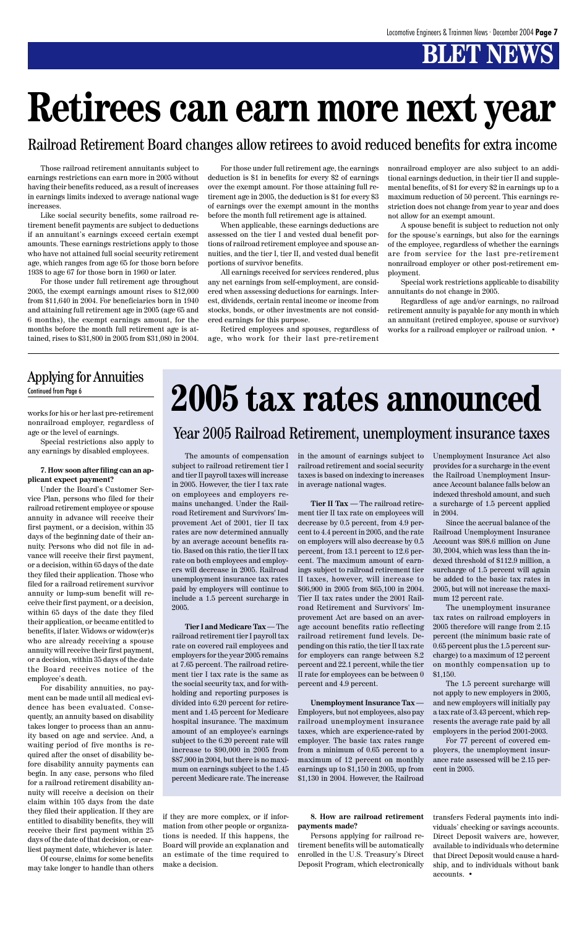# **BLET NEWS**

works for his or her last pre-retirement nonrailroad employer, regardless of age or the level of earnings.

Special restrictions also apply to any earnings by disabled employees.

#### **7. How soon after filing can an applicant expect payment?**

Under the Board's Customer Service Plan, persons who filed for their railroad retirement employee or spouse annuity in advance will receive their first payment, or a decision, within 35 days of the beginning date of their annuity. Persons who did not file in advance will receive their first payment, or a decision, within 65 days of the date they filed their application. Those who filed for a railroad retirement survivor annuity or lump-sum benefit will receive their first payment, or a decision, within 65 days of the date they filed their application, or became entitled to benefits, if later. Widows or widow(er)s who are already receiving a spouse annuity will receive their first payment, or a decision, within 35 days of the date the Board receives notice of the employee's death. For disability annuities, no payment can be made until all medical evidence has been evaluated. Consequently, an annuity based on disability takes longer to process than an annuity based on age and service. And, a waiting period of five months is required after the onset of disability before disability annuity payments can begin. In any case, persons who filed for a railroad retirement disability annuity will receive a decision on their claim within 105 days from the date they filed their application. If they are entitled to disability benefits, they will receive their first payment within 25 days of the date of that decision, or earliest payment date, whichever is later.

# Continued from Page 6 **2005 tax rates announced**

Of course, claims for some benefits may take longer to handle than others

Those railroad retirement annuitants subject to earnings restrictions can earn more in 2005 without having their benefits reduced, as a result of increases in earnings limits indexed to average national wage increases.

Like social security benefits, some railroad retirement benefit payments are subject to deductions if an annuitant's earnings exceed certain exempt amounts. These earnings restrictions apply to those who have not attained full social security retirement age, which ranges from age 65 for those born before 1938 to age 67 for those born in 1960 or later.

For those under full retirement age throughout 2005, the exempt earnings amount rises to \$12,000 from \$11,640 in 2004. For beneficiaries born in 1940 and attaining full retirement age in 2005 (age 65 and 6 months), the exempt earnings amount, for the months before the month full retirement age is attained, rises to \$31,800 in 2005 from \$31,080 in 2004.

# **Retirees can earn more next year**

For those under full retirement age, the earnings deduction is \$1 in benefits for every \$2 of earnings over the exempt amount. For those attaining full retirement age in 2005, the deduction is \$1 for every \$3 of earnings over the exempt amount in the months before the month full retirement age is attained.

When applicable, these earnings deductions are assessed on the tier I and vested dual benefit portions of railroad retirement employee and spouse annuities, and the tier I, tier II, and vested dual benefit portions of survivor benefits.

All earnings received for services rendered, plus any net earnings from self-employment, are considered when assessing deductions for earnings. Interest, dividends, certain rental income or income from stocks, bonds, or other investments are not considered earnings for this purpose.

Retired employees and spouses, regardless of age, who work for their last pre-retirement nonrailroad employer are also subject to an additional earnings deduction, in their tier II and supplemental benefits, of \$1 for every \$2 in earnings up to a maximum reduction of 50 percent. This earnings restriction does not change from year to year and does not allow for an exempt amount.

A spouse benefit is subject to reduction not only for the spouse's earnings, but also for the earnings of the employee, regardless of whether the earnings are from service for the last pre-retirement nonrailroad employer or other post-retirement employment.

Special work restrictions applicable to disability annuitants do not change in 2005.

Regardless of age and/or earnings, no railroad retirement annuity is payable for any month in which an annuitant (retired employee, spouse or survivor) works for a railroad employer or railroad union. •

The amounts of compensation subject to railroad retirement tier I and tier II payroll taxes will increase in 2005. However, the tier I tax rate on employees and employers remains unchanged. Under the Railroad Retirement and Survivors' Improvement Act of 2001, tier II tax rates are now determined annually by an average account benefits ratio. Based on this ratio, the tier II tax rate on both employees and employers will decrease in 2005. Railroad unemployment insurance tax rates paid by employers will continue to include a 1.5 percent surcharge in 2005.

**Tier I and Medicare Tax** — The railroad retirement tier I payroll tax rate on covered rail employees and employers for the year 2005 remains at 7.65 percent. The railroad retirement tier I tax rate is the same as the social security tax, and for withholding and reporting purposes is divided into 6.20 percent for retirement and 1.45 percent for Medicare hospital insurance. The maximum amount of an employee's earnings subject to the 6.20 percent rate will increase to \$90,000 in 2005 from \$87,900 in 2004, but there is no maximum on earnings subject to the 1.45 percent Medicare rate. The increase in the amount of earnings subject to railroad retirement and social security taxes is based on indexing to increases in average national wages.

**Tier II Tax** — The railroad retirement tier II tax rate on employees will decrease by 0.5 percent, from 4.9 percent to 4.4 percent in 2005, and the rate on employers will also decrease by 0.5 percent, from 13.1 percent to 12.6 percent. The maximum amount of earnings subject to railroad retirement tier II taxes, however, will increase to \$66,900 in 2005 from \$65,100 in 2004. Tier II tax rates under the 2001 Railroad Retirement and Survivors' Improvement Act are based on an average account benefits ratio reflecting railroad retirement fund levels. Depending on this ratio, the tier II tax rate for employers can range between 8.2 percent and 22.1 percent, while the tier II rate for employees can be between 0

percent and 4.9 percent.

**Unemployment Insurance Tax** — Employers, but not employees, also pay railroad unemployment insurance taxes, which are experience-rated by employer. The basic tax rates range from a minimum of 0.65 percent to a maximum of 12 percent on monthly earnings up to \$1,150 in 2005, up from \$1,130 in 2004. However, the Railroad

Unemployment Insurance Act also provides for a surcharge in the event the Railroad Unemployment Insurance Account balance falls below an indexed threshold amount, and such a surcharge of 1.5 percent applied in 2004.

Since the accrual balance of the Railroad Unemployment Insurance Account was \$98.6 million on June 30, 2004, which was less than the indexed threshold of \$112.9 million, a surcharge of 1.5 percent will again be added to the basic tax rates in 2005, but will not increase the maximum 12 percent rate.

The unemployment insurance tax rates on railroad employers in 2005 therefore will range from 2.15 percent (the minimum basic rate of 0.65 percent plus the 1.5 percent surcharge) to a maximum of 12 percent on monthly compensation up to \$1,150.

The 1.5 percent surcharge will not apply to new employers in 2005, and new employers will initially pay a tax rate of 3.43 percent, which represents the average rate paid by all employers in the period 2001-2003.

For 77 percent of covered employers, the unemployment insurance rate assessed will be 2.15 percent in 2005.

### Year 2005 Railroad Retirement, unemployment insurance taxes

### Applying for Annuities

if they are more complex, or if information from other people or organizations is needed. If this happens, the Board will provide an explanation and an estimate of the time required to make a decision.

**8. How are railroad retirement payments made?**

Persons applying for railroad retirement benefits will be automatically enrolled in the U.S. Treasury's Direct Deposit Program, which electronically

transfers Federal payments into individuals' checking or savings accounts. Direct Deposit waivers are, however, available to individuals who determine that Direct Deposit would cause a hardship, and to individuals without bank accounts. •

### Railroad Retirement Board changes allow retirees to avoid reduced benefits for extra income